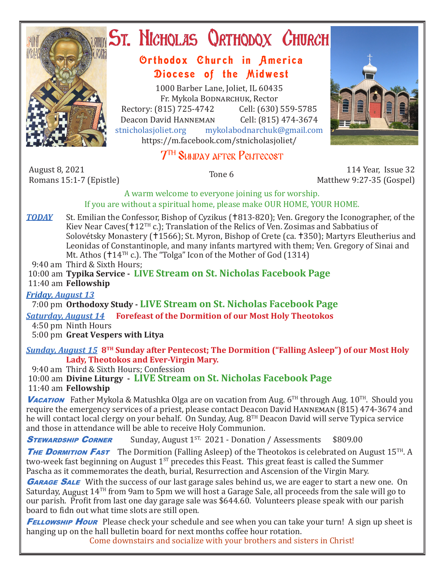

# **ST. NICHOLAS QRTHODOX CHURCH**

## Orthodox Church in America Diocese of the Midwest

1000 Barber Lane, Joliet, IL 60435 Fr. Mykola Bodnarchuk, Rector Rectory: (815) 725-4742 Cell: (630) 559-5785<br>Deacon David HANNEMAN Cell: (815) 474-3674 Deacon David HANNEMAN<br>stnicholasioliet.org myk mykolabodnarchuk@gmail.com https://m.facebook.com/stnicholasjoliet/

## $7^{\scriptscriptstyle\rm TH}$  Sunday after Pentecost

August 8, 2021<br>Romans 15:1-7 (Epistle)

Romans 15:1-7 (Epistle) Tone 6 114 Year, Issue 32 Matthew 9:27-35 (Gospel)

A warm welcome to everyone joining us for worship. If you are without a spiritual home, please make OUR HOME, YOUR HOME.

*TODAY* St. Emilian the Confessor, Bishop of Cyzikus (†813-820); Ven. Gregory the Iconographer, of the Kiev Near Caves( $12^{TH}$  c.); Translation of the Relics of Ven. Zosimas and Sabbatius of Solovétsky Monastery (†1566); St. Myron, Bishop of Crete (ca. †350); Martyrs Eleutherius and Leonidas of Constantinople, and many infants martyred with them; Ven. Gregory of Sinai and Mt. Athos ( $\uparrow$ 14<sup>TH</sup> c.). The "Tolga" Icon of the Mother of God (1314)

9:40 am Third & Sixth Hours;

 10:00 am **Typika Service - LIVE Stream on St. Nicholas Facebook Page** 11:40 am **Fellowship**

### *Friday, August 13*

7:00 pm **Orthodoxy Study - LIVE Stream on St. Nicholas Facebook Page**

*Saturday, August 14* **Forefeast of the Dormition of our Most Holy Theotokos**

 4:50 pm Ninth Hours 5:00 pm **Great Vespers with Litya**

#### *Sunday, August 15* **8TH Sunday after Pentecost; The Dormition ("Falling Asleep") of our Most Holy Lady, Theotokos and Ever-Virgin Mary.**

9:40 am Third & Sixth Hours; Confession

 10:00 am **Divine Liturgy - LIVE Stream on St. Nicholas Facebook Page** 11:40 am **Fellowship**

**Vacation** Father Mykola & Matushka Olga are on vacation from Aug. 6<sup>TH</sup> through Aug. 10<sup>TH</sup>. Should you require the emergency services of a priest, please contact Deacon David Hanneman (815) 474-3674 and he will contact local clergy on your behalf. On Sunday, Aug. 8TH Deacon David will serve Typica service and those in attendance will be able to receive Holy Communion.

**STEWARDSHIP CORNER** Sunday, August 1<sup>ST,</sup> 2021 - Donation / Assessments \$809.00

THE DORMITION FAST The Dormition (Falling Asleep) of the Theotokos is celebrated on August 15<sup>TH</sup>. A two-week fast beginning on August  $1^{ST}$  precedes this Feast. This great feast is called the Summer Pascha as it commemorates the death, burial, Resurrection and Ascension of the Virgin Mary.

**GARAGE SALE** With the success of our last garage sales behind us, we are eager to start a new one. On Saturday, August 14TH from 9am to 5pm we will host a Garage Sale, all proceeds from the sale will go to our parish. Profit from last one day garage sale was \$644.60. Volunteers please speak with our parish board to fidn out what time slots are still open.

**FELLOWSHIP HOUR** Please check your schedule and see when you can take your turn! A sign up sheet is hanging up on the hall bulletin board for next months coffee hour rotation.

Come downstairs and socialize with your brothers and sisters in Christ!